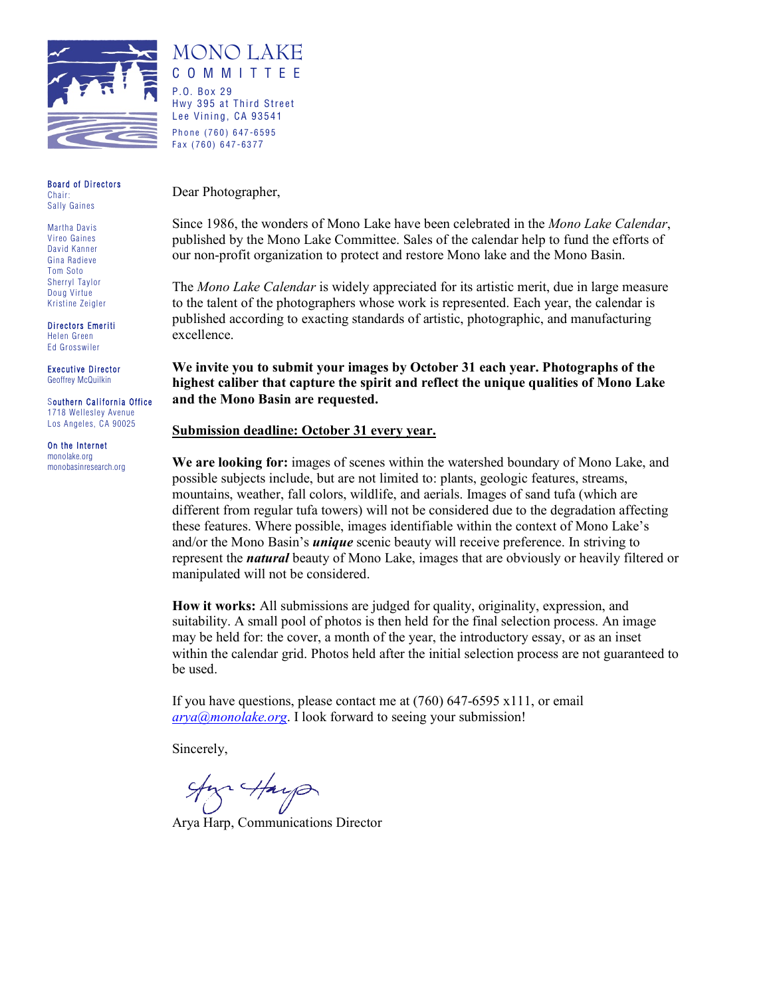

Board of Directors Chair:

Martha Davis Vireo Gaines David Kanner Gina Radieve Tom Soto Sherryl Taylor Doug Virtue Kristine Zeigler

Sally Gaines

Directors Emeriti Helen Green Ed Grosswiler

Executive Director Geoffrey McQuilkin

Southern California Office 1718 Wellesley Avenue Los Angeles, CA 90025

On the Internet monolake.org monobasinresearch.org Dear Photographer,

MONO LAKE COMMITTEE

Hwy 395 at Third Street Lee Vining, CA 93541 Phone (760) 647 - 6595 Fax (760) 647 - 637 7

P.O. Box 29

Since 1986, the wonders of Mono Lake have been celebrated in the *Mono Lake Calendar*, published by the Mono Lake Committee. Sales of the calendar help to fund the efforts of our non-profit organization to protect and restore Mono lake and the Mono Basin.

The *Mono Lake Calendar* is widely appreciated for its artistic merit, due in large measure to the talent of the photographers whose work is represented. Each year, the calendar is published according to exacting standards of artistic, photographic, and manufacturing excellence.

**We invite you to submit your images by October 31 each year. Photographs of the highest caliber that capture the spirit and reflect the unique qualities of Mono Lake and the Mono Basin are requested.**

#### **Submission deadline: October 31 every year.**

**We are looking for:** images of scenes within the watershed boundary of Mono Lake, and possible subjects include, but are not limited to: plants, geologic features, streams, mountains, weather, fall colors, wildlife, and aerials. Images of sand tufa (which are different from regular tufa towers) will not be considered due to the degradation affecting these features. Where possible, images identifiable within the context of Mono Lake's and/or the Mono Basin's *unique* scenic beauty will receive preference. In striving to represent the *natural* beauty of Mono Lake, images that are obviously or heavily filtered or manipulated will not be considered.

**How it works:** All submissions are judged for quality, originality, expression, and suitability. A small pool of photos is then held for the final selection process. An image may be held for: the cover, a month of the year, the introductory essay, or as an inset within the calendar grid. Photos held after the initial selection process are not guaranteed to be used.

If you have questions, please contact me at  $(760)$  647-6595 x111, or email *[arya@monolake.org](mailto:arya@monolake.org)*. I look forward to seeing your submission!

Sincerely,

 $\frac{4\pi}{3}$   $\frac{4\pi}{3}$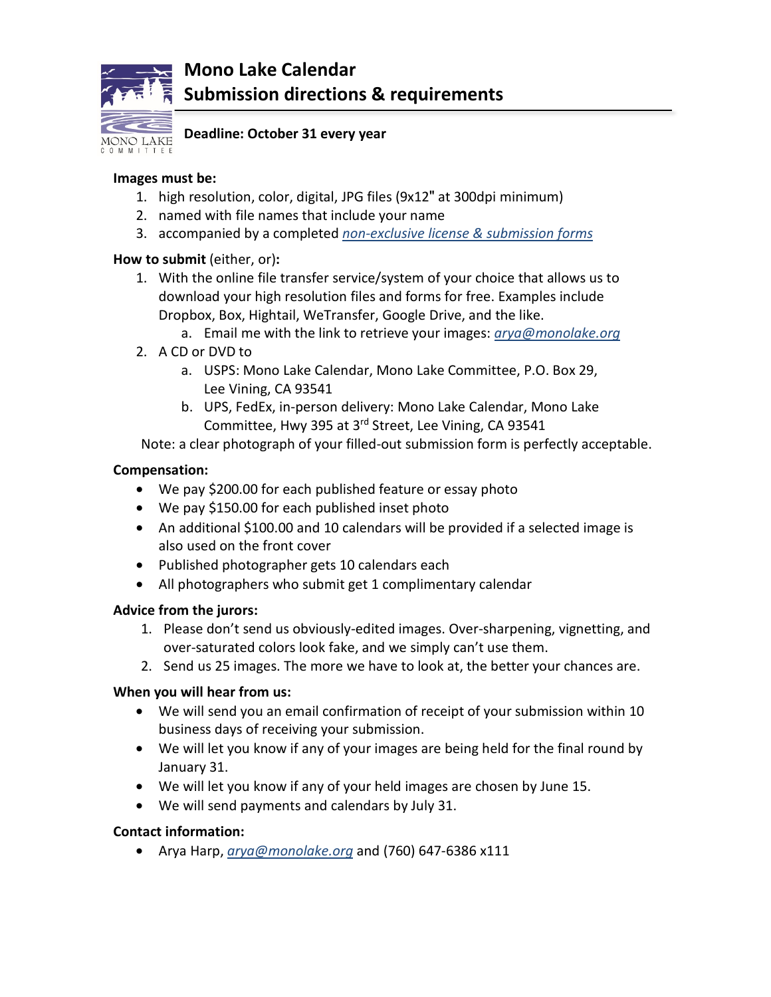

# **Mono Lake Calendar Submission directions & requirements**

**Deadline: October 31 every year**

#### **Images must be:**

- 1. high resolution, color, digital, JPG files (9x12" at 300dpi minimum)
- 2. named with file names that include your name
- 3. accompanied by a completed *non-exclusive license & submission forms*

### **How to submit** (either, or)**:**

- 1. With the online file transfer service/system of your choice that allows us to download your high resolution files and forms for free. Examples include Dropbox, Box, Hightail, WeTransfer, Google Drive, and the like.
	- a. Email me with the link to retrieve your images: *[arya@monolake.org](mailto:arya@monolake.org)*
- 2. A CD or DVD to
	- a. USPS: Mono Lake Calendar, Mono Lake Committee, P.O. Box 29, Lee Vining, CA 93541
	- b. UPS, FedEx, in-person delivery: Mono Lake Calendar, Mono Lake Committee, Hwy 395 at 3rd Street, Lee Vining, CA 93541

Note: a clear photograph of your filled-out submission form is perfectly acceptable.

### **Compensation:**

- We pay \$200.00 for each published feature or essay photo
- We pay \$150.00 for each published inset photo
- An additional \$100.00 and 10 calendars will be provided if a selected image is also used on the front cover
- Published photographer gets 10 calendars each
- All photographers who submit get 1 complimentary calendar

### **Advice from the jurors:**

- 1. Please don't send us obviously-edited images. Over-sharpening, vignetting, and over-saturated colors look fake, and we simply can't use them.
- 2. Send us 25 images. The more we have to look at, the better your chances are.

### **When you will hear from us:**

- We will send you an email confirmation of receipt of your submission within 10 business days of receiving your submission.
- We will let you know if any of your images are being held for the final round by January 31.
- We will let you know if any of your held images are chosen by June 15.
- We will send payments and calendars by July 31.

### **Contact information:**

• Arya Harp, *[arya@monolake.org](mailto:arya@monolake.org)* and (760) 647-6386 x111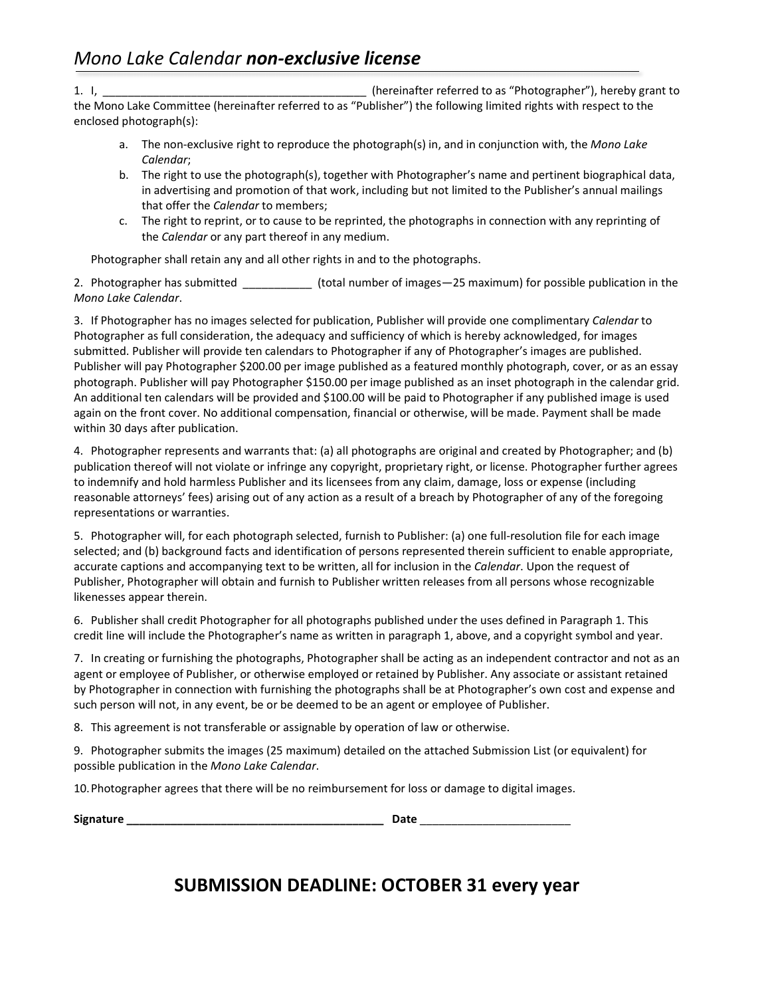1. I, \_\_\_\_\_\_\_\_\_\_\_\_\_\_\_\_\_\_\_\_\_\_\_\_\_\_\_\_\_\_\_\_\_\_\_\_\_\_\_\_\_\_ (hereinafter referred to as "Photographer"), hereby grant to the Mono Lake Committee (hereinafter referred to as "Publisher") the following limited rights with respect to the enclosed photograph(s):

- a. The non-exclusive right to reproduce the photograph(s) in, and in conjunction with, the *Mono Lake Calendar*;
- b. The right to use the photograph(s), together with Photographer's name and pertinent biographical data, in advertising and promotion of that work, including but not limited to the Publisher's annual mailings that offer the *Calendar* to members;
- c. The right to reprint, or to cause to be reprinted, the photographs in connection with any reprinting of the *Calendar* or any part thereof in any medium.

Photographer shall retain any and all other rights in and to the photographs.

2. Photographer has submitted \_\_\_\_\_\_\_\_\_\_\_ (total number of images—25 maximum) for possible publication in the *Mono Lake Calendar*.

3. If Photographer has no images selected for publication, Publisher will provide one complimentary *Calendar* to Photographer as full consideration, the adequacy and sufficiency of which is hereby acknowledged, for images submitted. Publisher will provide ten calendars to Photographer if any of Photographer's images are published. Publisher will pay Photographer \$200.00 per image published as a featured monthly photograph, cover, or as an essay photograph. Publisher will pay Photographer \$150.00 per image published as an inset photograph in the calendar grid. An additional ten calendars will be provided and \$100.00 will be paid to Photographer if any published image is used again on the front cover. No additional compensation, financial or otherwise, will be made. Payment shall be made within 30 days after publication.

4. Photographer represents and warrants that: (a) all photographs are original and created by Photographer; and (b) publication thereof will not violate or infringe any copyright, proprietary right, or license. Photographer further agrees to indemnify and hold harmless Publisher and its licensees from any claim, damage, loss or expense (including reasonable attorneys' fees) arising out of any action as a result of a breach by Photographer of any of the foregoing representations or warranties.

5. Photographer will, for each photograph selected, furnish to Publisher: (a) one full-resolution file for each image selected; and (b) background facts and identification of persons represented therein sufficient to enable appropriate, accurate captions and accompanying text to be written, all for inclusion in the *Calendar*. Upon the request of Publisher, Photographer will obtain and furnish to Publisher written releases from all persons whose recognizable likenesses appear therein.

6. Publisher shall credit Photographer for all photographs published under the uses defined in Paragraph 1. This credit line will include the Photographer's name as written in paragraph 1, above, and a copyright symbol and year.

7. In creating or furnishing the photographs, Photographer shall be acting as an independent contractor and not as an agent or employee of Publisher, or otherwise employed or retained by Publisher. Any associate or assistant retained by Photographer in connection with furnishing the photographs shall be at Photographer's own cost and expense and such person will not, in any event, be or be deemed to be an agent or employee of Publisher.

8. This agreement is not transferable or assignable by operation of law or otherwise.

9. Photographer submits the images (25 maximum) detailed on the attached Submission List (or equivalent) for possible publication in the *Mono Lake Calendar*.

10.Photographer agrees that there will be no reimbursement for loss or damage to digital images.

| Signature | <b>Date</b> |
|-----------|-------------|
|           |             |

# **SUBMISSION DEADLINE: OCTOBER 31 every year**